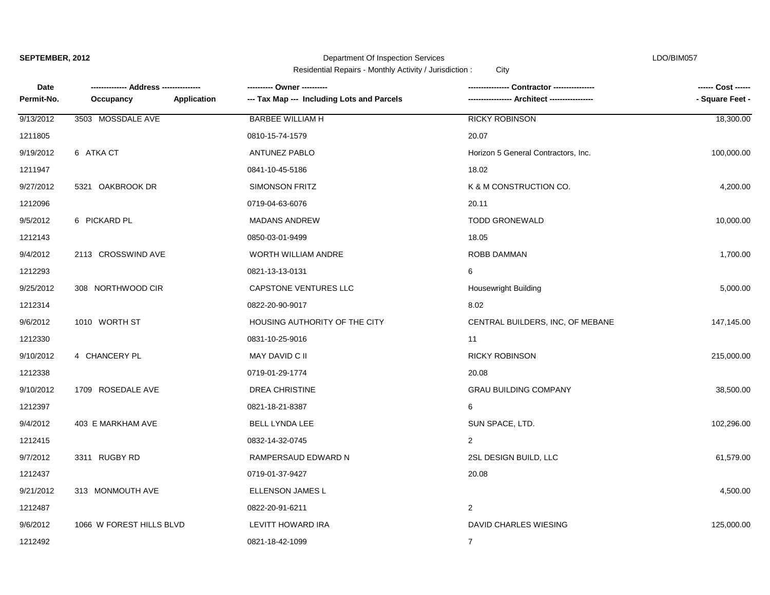# Department Of Inspection Services LDO/BIM057

| Date       | --- Address ------       |             |                                            | Contractor ---------------          | ------ Cost ------ |
|------------|--------------------------|-------------|--------------------------------------------|-------------------------------------|--------------------|
| Permit-No. | Occupancy                | Application | --- Tax Map --- Including Lots and Parcels | Architect -------------             | - Square Feet -    |
| 9/13/2012  | 3503 MOSSDALE AVE        |             | <b>BARBEE WILLIAM H</b>                    | <b>RICKY ROBINSON</b>               | 18,300.00          |
| 1211805    |                          |             | 0810-15-74-1579                            | 20.07                               |                    |
| 9/19/2012  | 6 ATKA CT                |             | <b>ANTUNEZ PABLO</b>                       | Horizon 5 General Contractors, Inc. | 100,000.00         |
| 1211947    |                          |             | 0841-10-45-5186                            | 18.02                               |                    |
| 9/27/2012  | 5321 OAKBROOK DR         |             | <b>SIMONSON FRITZ</b>                      | K & M CONSTRUCTION CO.              | 4,200.00           |
| 1212096    |                          |             | 0719-04-63-6076                            | 20.11                               |                    |
| 9/5/2012   | 6 PICKARD PL             |             | <b>MADANS ANDREW</b>                       | <b>TODD GRONEWALD</b>               | 10,000.00          |
| 1212143    |                          |             | 0850-03-01-9499                            | 18.05                               |                    |
| 9/4/2012   | 2113 CROSSWIND AVE       |             | WORTH WILLIAM ANDRE                        | ROBB DAMMAN                         | 1,700.00           |
| 1212293    |                          |             | 0821-13-13-0131                            | 6                                   |                    |
| 9/25/2012  | 308 NORTHWOOD CIR        |             | CAPSTONE VENTURES LLC                      | Housewright Building                | 5,000.00           |
| 1212314    |                          |             | 0822-20-90-9017                            | 8.02                                |                    |
| 9/6/2012   | 1010 WORTH ST            |             | HOUSING AUTHORITY OF THE CITY              | CENTRAL BUILDERS, INC, OF MEBANE    | 147,145.00         |
| 1212330    |                          |             | 0831-10-25-9016                            | 11                                  |                    |
| 9/10/2012  | 4 CHANCERY PL            |             | MAY DAVID C II                             | <b>RICKY ROBINSON</b>               | 215,000.00         |
| 1212338    |                          |             | 0719-01-29-1774                            | 20.08                               |                    |
| 9/10/2012  | 1709 ROSEDALE AVE        |             | <b>DREA CHRISTINE</b>                      | <b>GRAU BUILDING COMPANY</b>        | 38,500.00          |
| 1212397    |                          |             | 0821-18-21-8387                            | 6                                   |                    |
| 9/4/2012   | 403 E MARKHAM AVE        |             | <b>BELL LYNDA LEE</b>                      | SUN SPACE, LTD.                     | 102,296.00         |
| 1212415    |                          |             | 0832-14-32-0745                            | $\overline{2}$                      |                    |
| 9/7/2012   | 3311 RUGBY RD            |             | RAMPERSAUD EDWARD N                        | 2SL DESIGN BUILD, LLC               | 61,579.00          |
| 1212437    |                          |             | 0719-01-37-9427                            | 20.08                               |                    |
| 9/21/2012  | 313 MONMOUTH AVE         |             | ELLENSON JAMES L                           |                                     | 4,500.00           |
| 1212487    |                          |             | 0822-20-91-6211                            | 2                                   |                    |
| 9/6/2012   | 1066 W FOREST HILLS BLVD |             | LEVITT HOWARD IRA                          | DAVID CHARLES WIESING               | 125,000.00         |
| 1212492    |                          |             | 0821-18-42-1099                            | $\overline{7}$                      |                    |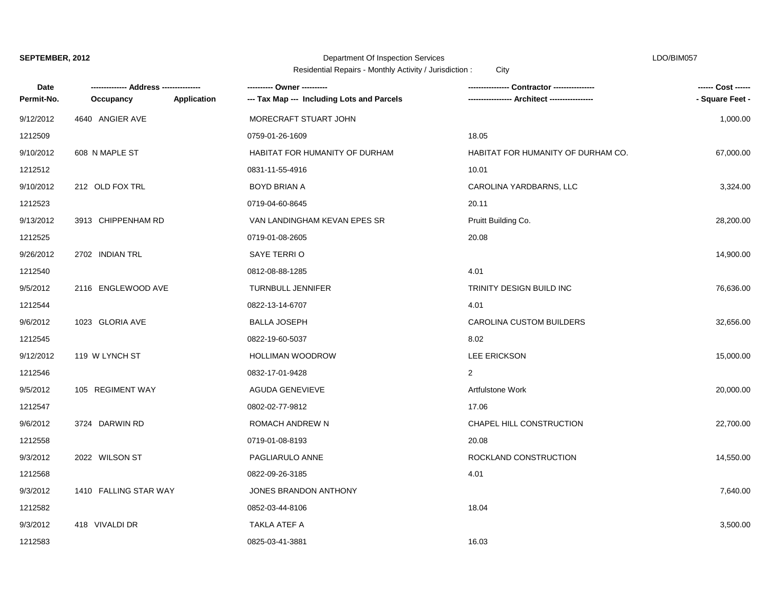### Department Of Inspection Services LDO/BIM057

| <b>Date</b> |                       |                    | ---------- Owner ----------                | Contractor ----------------        | ------ Cost ------ |
|-------------|-----------------------|--------------------|--------------------------------------------|------------------------------------|--------------------|
| Permit-No.  | Occupancy             | <b>Application</b> | --- Tax Map --- Including Lots and Parcels | Architect ----------------         | - Square Feet -    |
| 9/12/2012   | 4640 ANGIER AVE       |                    | MORECRAFT STUART JOHN                      |                                    | 1,000.00           |
| 1212509     |                       |                    | 0759-01-26-1609                            | 18.05                              |                    |
| 9/10/2012   | 608 N MAPLE ST        |                    | HABITAT FOR HUMANITY OF DURHAM             | HABITAT FOR HUMANITY OF DURHAM CO. | 67,000.00          |
| 1212512     |                       |                    | 0831-11-55-4916                            | 10.01                              |                    |
| 9/10/2012   | 212 OLD FOX TRL       |                    | BOYD BRIAN A                               | CAROLINA YARDBARNS, LLC            | 3,324.00           |
| 1212523     |                       |                    | 0719-04-60-8645                            | 20.11                              |                    |
| 9/13/2012   | 3913 CHIPPENHAM RD    |                    | VAN LANDINGHAM KEVAN EPES SR               | Pruitt Building Co.                | 28,200.00          |
| 1212525     |                       |                    | 0719-01-08-2605                            | 20.08                              |                    |
| 9/26/2012   | 2702 INDIAN TRL       |                    | SAYE TERRIO                                |                                    | 14,900.00          |
| 1212540     |                       |                    | 0812-08-88-1285                            | 4.01                               |                    |
| 9/5/2012    | 2116 ENGLEWOOD AVE    |                    | TURNBULL JENNIFER                          | TRINITY DESIGN BUILD INC           | 76,636.00          |
| 1212544     |                       |                    | 0822-13-14-6707                            | 4.01                               |                    |
| 9/6/2012    | 1023 GLORIA AVE       |                    | <b>BALLA JOSEPH</b>                        | CAROLINA CUSTOM BUILDERS           | 32,656.00          |
| 1212545     |                       |                    | 0822-19-60-5037                            | 8.02                               |                    |
| 9/12/2012   | 119 W LYNCH ST        |                    | <b>HOLLIMAN WOODROW</b>                    | LEE ERICKSON                       | 15,000.00          |
| 1212546     |                       |                    | 0832-17-01-9428                            | $\overline{2}$                     |                    |
| 9/5/2012    | 105 REGIMENT WAY      |                    | AGUDA GENEVIEVE                            | Artfulstone Work                   | 20,000.00          |
| 1212547     |                       |                    | 0802-02-77-9812                            | 17.06                              |                    |
| 9/6/2012    | 3724 DARWIN RD        |                    | ROMACH ANDREW N                            | CHAPEL HILL CONSTRUCTION           | 22,700.00          |
| 1212558     |                       |                    | 0719-01-08-8193                            | 20.08                              |                    |
| 9/3/2012    | 2022 WILSON ST        |                    | PAGLIARULO ANNE                            | ROCKLAND CONSTRUCTION              | 14,550.00          |
| 1212568     |                       |                    | 0822-09-26-3185                            | 4.01                               |                    |
| 9/3/2012    | 1410 FALLING STAR WAY |                    | JONES BRANDON ANTHONY                      |                                    | 7,640.00           |
| 1212582     |                       |                    | 0852-03-44-8106                            | 18.04                              |                    |
| 9/3/2012    | 418 VIVALDI DR        |                    | TAKLA ATEF A                               |                                    | 3,500.00           |
| 1212583     |                       |                    | 0825-03-41-3881                            | 16.03                              |                    |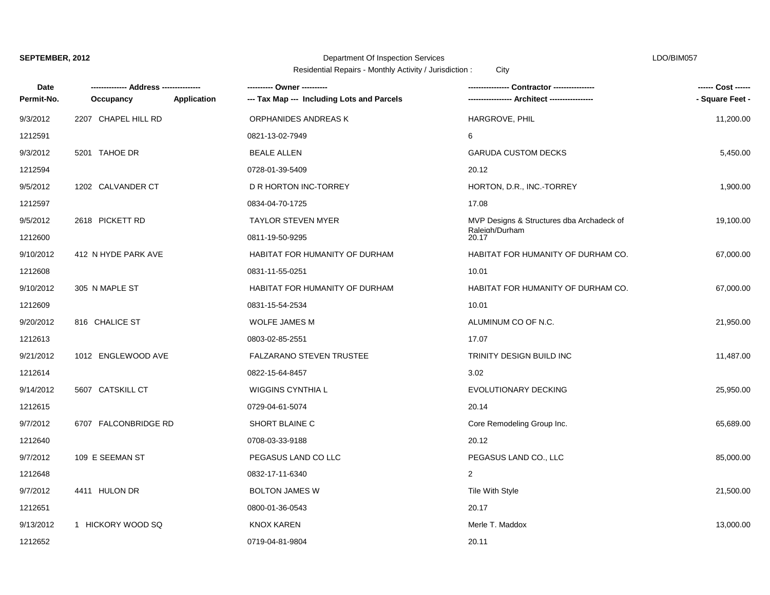# Department Of Inspection Services LDO/BIM057

| <b>Date</b> | -------------- Address --------------- |             | ---------- Owner ----------                |                                           | ------ Cost ------ |
|-------------|----------------------------------------|-------------|--------------------------------------------|-------------------------------------------|--------------------|
| Permit-No.  | Occupancy                              | Application | --- Tax Map --- Including Lots and Parcels | --- Architect ------------------          | - Square Feet -    |
| 9/3/2012    | 2207 CHAPEL HILL RD                    |             | ORPHANIDES ANDREAS K                       | HARGROVE, PHIL                            | 11,200.00          |
| 1212591     |                                        |             | 0821-13-02-7949                            | 6                                         |                    |
| 9/3/2012    | 5201 TAHOE DR                          |             | <b>BEALE ALLEN</b>                         | <b>GARUDA CUSTOM DECKS</b>                | 5,450.00           |
| 1212594     |                                        |             | 0728-01-39-5409                            | 20.12                                     |                    |
| 9/5/2012    | 1202 CALVANDER CT                      |             | D R HORTON INC-TORREY                      | HORTON, D.R., INC.-TORREY                 | 1,900.00           |
| 1212597     |                                        |             | 0834-04-70-1725                            | 17.08                                     |                    |
| 9/5/2012    | 2618 PICKETT RD                        |             | <b>TAYLOR STEVEN MYER</b>                  | MVP Designs & Structures dba Archadeck of | 19,100.00          |
| 1212600     |                                        |             | 0811-19-50-9295                            | Raleigh/Durham<br>20.17                   |                    |
| 9/10/2012   | 412 N HYDE PARK AVE                    |             | HABITAT FOR HUMANITY OF DURHAM             | HABITAT FOR HUMANITY OF DURHAM CO.        | 67,000.00          |
| 1212608     |                                        |             | 0831-11-55-0251                            | 10.01                                     |                    |
| 9/10/2012   | 305 N MAPLE ST                         |             | HABITAT FOR HUMANITY OF DURHAM             | HABITAT FOR HUMANITY OF DURHAM CO.        | 67,000.00          |
| 1212609     |                                        |             | 0831-15-54-2534                            | 10.01                                     |                    |
| 9/20/2012   | 816 CHALICE ST                         |             | WOLFE JAMES M                              | ALUMINUM CO OF N.C.                       | 21,950.00          |
| 1212613     |                                        |             | 0803-02-85-2551                            | 17.07                                     |                    |
| 9/21/2012   | 1012 ENGLEWOOD AVE                     |             | FALZARANO STEVEN TRUSTEE                   | TRINITY DESIGN BUILD INC                  | 11,487.00          |
| 1212614     |                                        |             | 0822-15-64-8457                            | 3.02                                      |                    |
| 9/14/2012   | 5607 CATSKILL CT                       |             | <b>WIGGINS CYNTHIA L</b>                   | <b>EVOLUTIONARY DECKING</b>               | 25,950.00          |
| 1212615     |                                        |             | 0729-04-61-5074                            | 20.14                                     |                    |
| 9/7/2012    | 6707 FALCONBRIDGE RD                   |             | SHORT BLAINE C                             | Core Remodeling Group Inc.                | 65,689.00          |
| 1212640     |                                        |             | 0708-03-33-9188                            | 20.12                                     |                    |
| 9/7/2012    | 109 E SEEMAN ST                        |             | PEGASUS LAND CO LLC                        | PEGASUS LAND CO., LLC                     | 85,000.00          |
| 1212648     |                                        |             | 0832-17-11-6340                            | $\overline{2}$                            |                    |
| 9/7/2012    | 4411 HULON DR                          |             | <b>BOLTON JAMES W</b>                      | Tile With Style                           | 21,500.00          |
| 1212651     |                                        |             | 0800-01-36-0543                            | 20.17                                     |                    |
| 9/13/2012   | 1 HICKORY WOOD SQ                      |             | <b>KNOX KAREN</b>                          | Merle T. Maddox                           | 13,000.00          |
| 1212652     |                                        |             | 0719-04-81-9804                            | 20.11                                     |                    |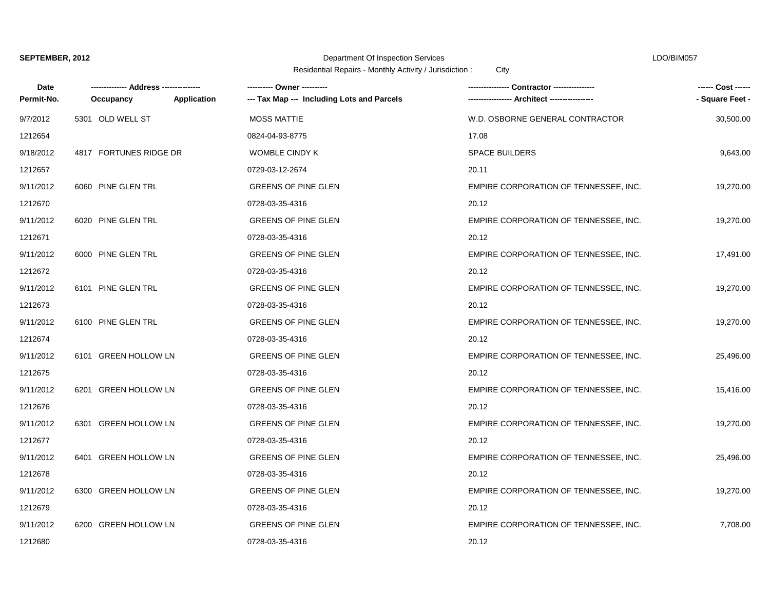# Department Of Inspection Services LDO/BIM057

| Date       | --- Address ---------  |             | ---------- Owner ----------                | Contractor ---------------            |                 |
|------------|------------------------|-------------|--------------------------------------------|---------------------------------------|-----------------|
| Permit-No. | Occupancy              | Application | --- Tax Map --- Including Lots and Parcels |                                       | - Square Feet - |
| 9/7/2012   | 5301 OLD WELL ST       |             | <b>MOSS MATTIE</b>                         | W.D. OSBORNE GENERAL CONTRACTOR       | 30,500.00       |
| 1212654    |                        |             | 0824-04-93-8775                            | 17.08                                 |                 |
| 9/18/2012  | 4817 FORTUNES RIDGE DR |             | WOMBLE CINDY K                             | <b>SPACE BUILDERS</b>                 | 9,643.00        |
| 1212657    |                        |             | 0729-03-12-2674                            | 20.11                                 |                 |
| 9/11/2012  | 6060 PINE GLEN TRL     |             | <b>GREENS OF PINE GLEN</b>                 | EMPIRE CORPORATION OF TENNESSEE, INC. | 19,270.00       |
| 1212670    |                        |             | 0728-03-35-4316                            | 20.12                                 |                 |
| 9/11/2012  | 6020 PINE GLEN TRL     |             | <b>GREENS OF PINE GLEN</b>                 | EMPIRE CORPORATION OF TENNESSEE, INC. | 19,270.00       |
| 1212671    |                        |             | 0728-03-35-4316                            | 20.12                                 |                 |
| 9/11/2012  | 6000 PINE GLEN TRL     |             | <b>GREENS OF PINE GLEN</b>                 | EMPIRE CORPORATION OF TENNESSEE, INC. | 17,491.00       |
| 1212672    |                        |             | 0728-03-35-4316                            | 20.12                                 |                 |
| 9/11/2012  | 6101 PINE GLEN TRL     |             | <b>GREENS OF PINE GLEN</b>                 | EMPIRE CORPORATION OF TENNESSEE, INC. | 19,270.00       |
| 1212673    |                        |             | 0728-03-35-4316                            | 20.12                                 |                 |
| 9/11/2012  | 6100 PINE GLEN TRL     |             | <b>GREENS OF PINE GLEN</b>                 | EMPIRE CORPORATION OF TENNESSEE, INC. | 19,270.00       |
| 1212674    |                        |             | 0728-03-35-4316                            | 20.12                                 |                 |
| 9/11/2012  | 6101 GREEN HOLLOW LN   |             | <b>GREENS OF PINE GLEN</b>                 | EMPIRE CORPORATION OF TENNESSEE, INC. | 25,496.00       |
| 1212675    |                        |             | 0728-03-35-4316                            | 20.12                                 |                 |
| 9/11/2012  | 6201 GREEN HOLLOW LN   |             | <b>GREENS OF PINE GLEN</b>                 | EMPIRE CORPORATION OF TENNESSEE, INC. | 15,416.00       |
| 1212676    |                        |             | 0728-03-35-4316                            | 20.12                                 |                 |
| 9/11/2012  | 6301 GREEN HOLLOW LN   |             | <b>GREENS OF PINE GLEN</b>                 | EMPIRE CORPORATION OF TENNESSEE, INC. | 19,270.00       |
| 1212677    |                        |             | 0728-03-35-4316                            | 20.12                                 |                 |
| 9/11/2012  | 6401 GREEN HOLLOW LN   |             | <b>GREENS OF PINE GLEN</b>                 | EMPIRE CORPORATION OF TENNESSEE, INC. | 25,496.00       |
| 1212678    |                        |             | 0728-03-35-4316                            | 20.12                                 |                 |
| 9/11/2012  | 6300 GREEN HOLLOW LN   |             | <b>GREENS OF PINE GLEN</b>                 | EMPIRE CORPORATION OF TENNESSEE, INC. | 19,270.00       |
| 1212679    |                        |             | 0728-03-35-4316                            | 20.12                                 |                 |
| 9/11/2012  | 6200 GREEN HOLLOW LN   |             | <b>GREENS OF PINE GLEN</b>                 | EMPIRE CORPORATION OF TENNESSEE, INC. | 7,708.00        |
| 1212680    |                        |             | 0728-03-35-4316                            | 20.12                                 |                 |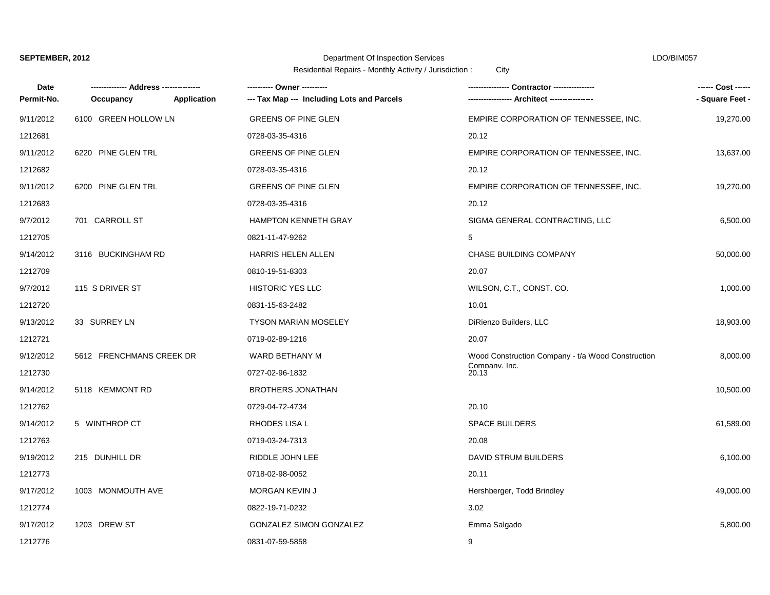# Department Of Inspection Services LDO/BIM057

| <b>Date</b> |                          |             | ---------- Owner ----------                | Contractor ----------------                       | ------ Cost ------ |
|-------------|--------------------------|-------------|--------------------------------------------|---------------------------------------------------|--------------------|
| Permit-No.  | Occupancy                | Application | --- Tax Map --- Including Lots and Parcels |                                                   | - Square Feet -    |
| 9/11/2012   | 6100 GREEN HOLLOW LN     |             | <b>GREENS OF PINE GLEN</b>                 | EMPIRE CORPORATION OF TENNESSEE, INC.             | 19,270.00          |
| 1212681     |                          |             | 0728-03-35-4316                            | 20.12                                             |                    |
| 9/11/2012   | 6220 PINE GLEN TRL       |             | GREENS OF PINE GLEN                        | EMPIRE CORPORATION OF TENNESSEE, INC.             | 13,637.00          |
| 1212682     |                          |             | 0728-03-35-4316                            | 20.12                                             |                    |
| 9/11/2012   | 6200 PINE GLEN TRL       |             | <b>GREENS OF PINE GLEN</b>                 | EMPIRE CORPORATION OF TENNESSEE, INC.             | 19,270.00          |
| 1212683     |                          |             | 0728-03-35-4316                            | 20.12                                             |                    |
| 9/7/2012    | 701 CARROLL ST           |             | HAMPTON KENNETH GRAY                       | SIGMA GENERAL CONTRACTING, LLC                    | 6,500.00           |
| 1212705     |                          |             | 0821-11-47-9262                            | 5                                                 |                    |
| 9/14/2012   | 3116 BUCKINGHAM RD       |             | <b>HARRIS HELEN ALLEN</b>                  | CHASE BUILDING COMPANY                            | 50,000.00          |
| 1212709     |                          |             | 0810-19-51-8303                            | 20.07                                             |                    |
| 9/7/2012    | 115 S DRIVER ST          |             | <b>HISTORIC YES LLC</b>                    | WILSON, C.T., CONST. CO.                          | 1,000.00           |
| 1212720     |                          |             | 0831-15-63-2482                            | 10.01                                             |                    |
| 9/13/2012   | 33 SURREY LN             |             | <b>TYSON MARIAN MOSELEY</b>                | DiRienzo Builders, LLC                            | 18,903.00          |
| 1212721     |                          |             | 0719-02-89-1216                            | 20.07                                             |                    |
| 9/12/2012   | 5612 FRENCHMANS CREEK DR |             | WARD BETHANY M                             | Wood Construction Company - t/a Wood Construction | 8,000.00           |
| 1212730     |                          |             | 0727-02-96-1832                            | Company. Inc.<br>20.13                            |                    |
| 9/14/2012   | 5118 KEMMONT RD          |             | <b>BROTHERS JONATHAN</b>                   |                                                   | 10,500.00          |
| 1212762     |                          |             | 0729-04-72-4734                            | 20.10                                             |                    |
| 9/14/2012   | 5 WINTHROP CT            |             | RHODES LISA L                              | <b>SPACE BUILDERS</b>                             | 61,589.00          |
| 1212763     |                          |             | 0719-03-24-7313                            | 20.08                                             |                    |
| 9/19/2012   | 215 DUNHILL DR           |             | RIDDLE JOHN LEE                            | DAVID STRUM BUILDERS                              | 6,100.00           |
| 1212773     |                          |             | 0718-02-98-0052                            | 20.11                                             |                    |
| 9/17/2012   | 1003 MONMOUTH AVE        |             | MORGAN KEVIN J                             | Hershberger, Todd Brindley                        | 49,000.00          |
| 1212774     |                          |             | 0822-19-71-0232                            | 3.02                                              |                    |
| 9/17/2012   | 1203 DREW ST             |             | GONZALEZ SIMON GONZALEZ                    | Emma Salgado                                      | 5,800.00           |
| 1212776     |                          |             | 0831-07-59-5858                            | 9                                                 |                    |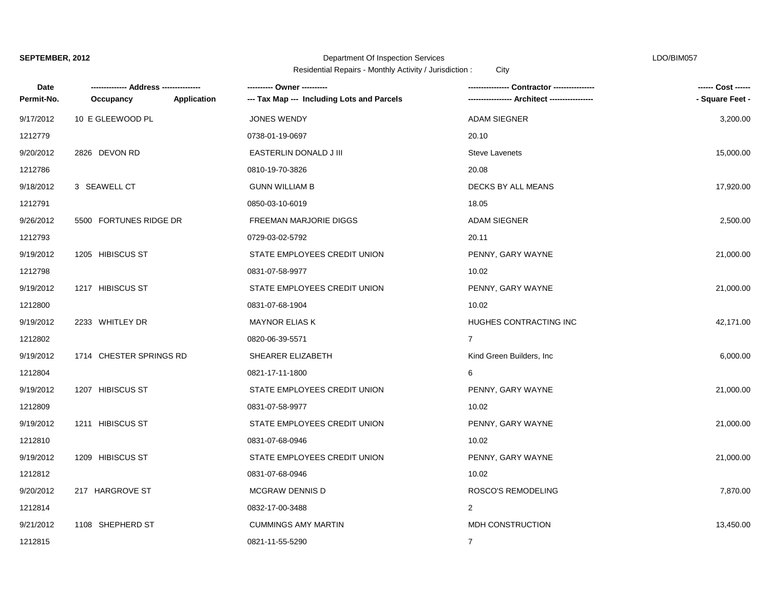### Department Of Inspection Services LDO/BIM057

| Date       |                         |             | ---------- Owner ----------                | - Contractor ------------ | ------ Cost ------ |
|------------|-------------------------|-------------|--------------------------------------------|---------------------------|--------------------|
| Permit-No. | Occupancy               | Application | --- Tax Map --- Including Lots and Parcels |                           | - Square Feet -    |
| 9/17/2012  | 10 E GLEEWOOD PL        |             | <b>JONES WENDY</b>                         | <b>ADAM SIEGNER</b>       | 3,200.00           |
| 1212779    |                         |             | 0738-01-19-0697                            | 20.10                     |                    |
| 9/20/2012  | 2826 DEVON RD           |             | EASTERLIN DONALD J III                     | <b>Steve Lavenets</b>     | 15,000.00          |
| 1212786    |                         |             | 0810-19-70-3826                            | 20.08                     |                    |
| 9/18/2012  | 3 SEAWELL CT            |             | <b>GUNN WILLIAM B</b>                      | DECKS BY ALL MEANS        | 17,920.00          |
| 1212791    |                         |             | 0850-03-10-6019                            | 18.05                     |                    |
| 9/26/2012  | 5500 FORTUNES RIDGE DR  |             | <b>FREEMAN MARJORIE DIGGS</b>              | <b>ADAM SIEGNER</b>       | 2,500.00           |
| 1212793    |                         |             | 0729-03-02-5792                            | 20.11                     |                    |
| 9/19/2012  | 1205 HIBISCUS ST        |             | STATE EMPLOYEES CREDIT UNION               | PENNY, GARY WAYNE         | 21,000.00          |
| 1212798    |                         |             | 0831-07-58-9977                            | 10.02                     |                    |
| 9/19/2012  | 1217 HIBISCUS ST        |             | STATE EMPLOYEES CREDIT UNION               | PENNY, GARY WAYNE         | 21,000.00          |
| 1212800    |                         |             | 0831-07-68-1904                            | 10.02                     |                    |
| 9/19/2012  | 2233 WHITLEY DR         |             | <b>MAYNOR ELIAS K</b>                      | HUGHES CONTRACTING INC    | 42,171.00          |
| 1212802    |                         |             | 0820-06-39-5571                            | $\overline{7}$            |                    |
| 9/19/2012  | 1714 CHESTER SPRINGS RD |             | SHEARER ELIZABETH                          | Kind Green Builders, Inc. | 6,000.00           |
| 1212804    |                         |             | 0821-17-11-1800                            | 6                         |                    |
| 9/19/2012  | 1207 HIBISCUS ST        |             | STATE EMPLOYEES CREDIT UNION               | PENNY, GARY WAYNE         | 21,000.00          |
| 1212809    |                         |             | 0831-07-58-9977                            | 10.02                     |                    |
| 9/19/2012  | 1211 HIBISCUS ST        |             | STATE EMPLOYEES CREDIT UNION               | PENNY, GARY WAYNE         | 21,000.00          |
| 1212810    |                         |             | 0831-07-68-0946                            | 10.02                     |                    |
| 9/19/2012  | 1209 HIBISCUS ST        |             | STATE EMPLOYEES CREDIT UNION               | PENNY, GARY WAYNE         | 21,000.00          |
| 1212812    |                         |             | 0831-07-68-0946                            | 10.02                     |                    |
| 9/20/2012  | 217 HARGROVE ST         |             | <b>MCGRAW DENNIS D</b>                     | ROSCO'S REMODELING        | 7,870.00           |
| 1212814    |                         |             | 0832-17-00-3488                            | $\overline{2}$            |                    |
| 9/21/2012  | 1108 SHEPHERD ST        |             | <b>CUMMINGS AMY MARTIN</b>                 | MDH CONSTRUCTION          | 13,450.00          |
| 1212815    |                         |             | 0821-11-55-5290                            | $\overline{7}$            |                    |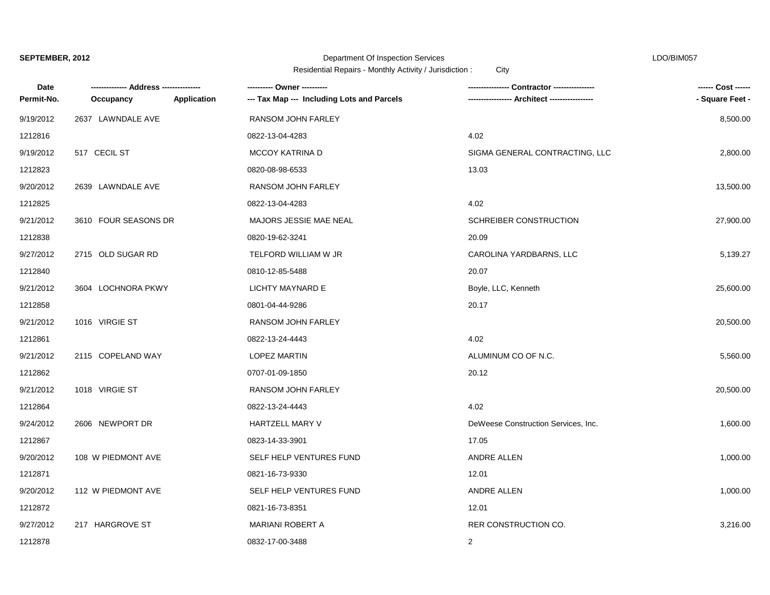### Department Of Inspection Services LDO/BIM057

| Date       |                      |             | ---------- Owner ----------                | Contractor ----------------         | ------ Cost ------ |
|------------|----------------------|-------------|--------------------------------------------|-------------------------------------|--------------------|
| Permit-No. | Occupancy            | Application | --- Tax Map --- Including Lots and Parcels | Architect ----------------          | - Square Feet -    |
| 9/19/2012  | 2637 LAWNDALE AVE    |             | RANSOM JOHN FARLEY                         |                                     | 8,500.00           |
| 1212816    |                      |             | 0822-13-04-4283                            | 4.02                                |                    |
| 9/19/2012  | 517 CECIL ST         |             | MCCOY KATRINA D                            | SIGMA GENERAL CONTRACTING, LLC      | 2,800.00           |
| 1212823    |                      |             | 0820-08-98-6533                            | 13.03                               |                    |
| 9/20/2012  | 2639 LAWNDALE AVE    |             | RANSOM JOHN FARLEY                         |                                     | 13,500.00          |
| 1212825    |                      |             | 0822-13-04-4283                            | 4.02                                |                    |
| 9/21/2012  | 3610 FOUR SEASONS DR |             | MAJORS JESSIE MAE NEAL                     | SCHREIBER CONSTRUCTION              | 27,900.00          |
| 1212838    |                      |             | 0820-19-62-3241                            | 20.09                               |                    |
| 9/27/2012  | 2715 OLD SUGAR RD    |             | TELFORD WILLIAM W JR                       | CAROLINA YARDBARNS, LLC             | 5,139.27           |
| 1212840    |                      |             | 0810-12-85-5488                            | 20.07                               |                    |
| 9/21/2012  | 3604 LOCHNORA PKWY   |             | <b>LICHTY MAYNARD E</b>                    | Boyle, LLC, Kenneth                 | 25,600.00          |
| 1212858    |                      |             | 0801-04-44-9286                            | 20.17                               |                    |
| 9/21/2012  | 1016 VIRGIE ST       |             | RANSOM JOHN FARLEY                         |                                     | 20,500.00          |
| 1212861    |                      |             | 0822-13-24-4443                            | 4.02                                |                    |
| 9/21/2012  | 2115 COPELAND WAY    |             | <b>LOPEZ MARTIN</b>                        | ALUMINUM CO OF N.C.                 | 5,560.00           |
| 1212862    |                      |             | 0707-01-09-1850                            | 20.12                               |                    |
| 9/21/2012  | 1018 VIRGIE ST       |             | RANSOM JOHN FARLEY                         |                                     | 20,500.00          |
| 1212864    |                      |             | 0822-13-24-4443                            | 4.02                                |                    |
| 9/24/2012  | 2606 NEWPORT DR      |             | <b>HARTZELL MARY V</b>                     | DeWeese Construction Services, Inc. | 1,600.00           |
| 1212867    |                      |             | 0823-14-33-3901                            | 17.05                               |                    |
| 9/20/2012  | 108 W PIEDMONT AVE   |             | SELF HELP VENTURES FUND                    | ANDRE ALLEN                         | 1,000.00           |
| 1212871    |                      |             | 0821-16-73-9330                            | 12.01                               |                    |
| 9/20/2012  | 112 W PIEDMONT AVE   |             | SELF HELP VENTURES FUND                    | ANDRE ALLEN                         | 1,000.00           |
| 1212872    |                      |             | 0821-16-73-8351                            | 12.01                               |                    |
| 9/27/2012  | 217 HARGROVE ST      |             | <b>MARIANI ROBERT A</b>                    | RER CONSTRUCTION CO.                | 3,216.00           |
| 1212878    |                      |             | 0832-17-00-3488                            | 2                                   |                    |